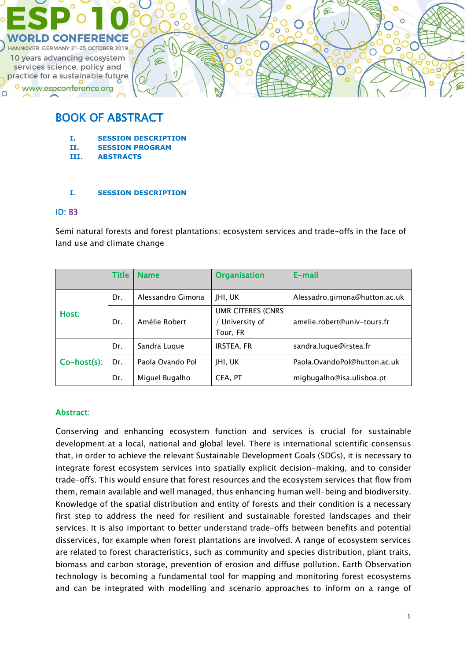

# BOOK OF ABSTRACT

- **I. SESSION DESCRIPTION**
- **II. SESSION PROGRAM**
- **III. ABSTRACTS**

### **I. SESSION DESCRIPTION**

### ID: B3

Semi natural forests and forest plantations: ecosystem services and trade-offs in the face of land use and climate change

|             | <b>Title</b> | <b>Name</b>       | <b>Organisation</b>                                   | E-mail                        |
|-------------|--------------|-------------------|-------------------------------------------------------|-------------------------------|
|             | Dr.          | Alessandro Gimona | JHI, UK                                               | Alessadro.gimona@hutton.ac.uk |
| Host:       | Dr.          | Amélie Robert     | <b>UMR CITERES (CNRS</b><br>University of<br>Tour, FR | amelie.robert@univ-tours.fr   |
| Co-host(s): | Dr.          | Sandra Luque      | <b>IRSTEA, FR</b>                                     | sandra.luque@irstea.fr        |
|             | Dr.          | Paola Ovando Pol  | JHI, UK                                               | Paola.OvandoPol@hutton.ac.uk  |
|             | Dr.          | Miguel Bugalho    | CEA, PT                                               | migbugalho@isa.ulisboa.pt     |

### Abstract:

Conserving and enhancing ecosystem function and services is crucial for sustainable development at a local, national and global level. There is international scientific consensus that, in order to achieve the relevant Sustainable Development Goals (SDGs), it is necessary to integrate forest ecosystem services into spatially explicit decision-making, and to consider trade-offs. This would ensure that forest resources and the ecosystem services that flow from them, remain available and well managed, thus enhancing human well-being and biodiversity. Knowledge of the spatial distribution and entity of forests and their condition is a necessary first step to address the need for resilient and sustainable forested landscapes and their services. It is also important to better understand trade-offs between benefits and potential disservices, for example when forest plantations are involved. A range of ecosystem services are related to forest characteristics, such as community and species distribution, plant traits, biomass and carbon storage, prevention of erosion and diffuse pollution. Earth Observation technology is becoming a fundamental tool for mapping and monitoring forest ecosystems and can be integrated with modelling and scenario approaches to inform on a range of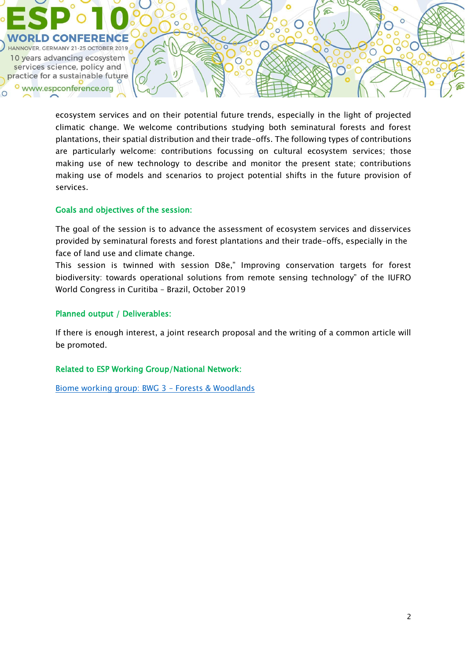

ecosystem services and on their potential future trends, especially in the light of projected climatic change. We welcome contributions studying both seminatural forests and forest plantations, their spatial distribution and their trade-offs. The following types of contributions are particularly welcome: contributions focussing on cultural ecosystem services; those making use of new technology to describe and monitor the present state; contributions making use of models and scenarios to project potential shifts in the future provision of services.

### Goals and objectives of the session:

The goal of the session is to advance the assessment of ecosystem services and disservices provided by seminatural forests and forest plantations and their trade-offs, especially in the face of land use and climate change.

This session is twinned with session D8e," Improving conservation targets for forest biodiversity: towards operational solutions from remote sensing technology" of the IUFRO World Congress in Curitiba – Brazil, October 2019

### Planned output / Deliverables:

If there is enough interest, a joint research proposal and the writing of a common article will be promoted.

### Related to ESP Working Group/National Network:

[Biome working group: BWG 3](https://www.es-partnership.org/community/workings-groups/biome-working-groups/bwg-3-forests-woodlands/) – Forests & Woodlands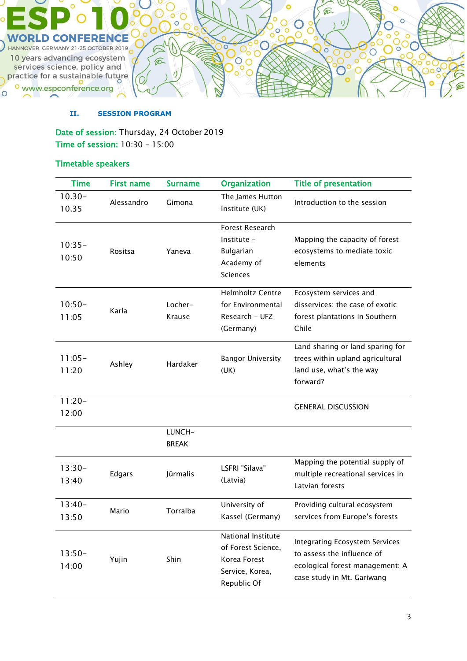

#### **II. SESSION PROGRAM**

Date of session: Thursday, 24 October 2019 Time of session: 10:30 – 15:00

## Timetable speakers

| <b>Time</b>        | <b>First name</b> | <b>Surname</b>         | <b>Organization</b>                                                                        | <b>Title of presentation</b>                                                                                                         |
|--------------------|-------------------|------------------------|--------------------------------------------------------------------------------------------|--------------------------------------------------------------------------------------------------------------------------------------|
| $10.30 -$<br>10.35 | Alessandro        | Gimona                 | The James Hutton<br>Institute (UK)                                                         | Introduction to the session                                                                                                          |
| $10:35-$<br>10:50  | Rositsa           | Yaneva                 | Forest Research<br>Institute -<br><b>Bulgarian</b><br>Academy of<br><b>Sciences</b>        | Mapping the capacity of forest<br>ecosystems to mediate toxic<br>elements                                                            |
| $10:50-$<br>11:05  | Karla             | Locher-<br>Krause      | <b>Helmholtz Centre</b><br>for Environmental<br>Research - UFZ<br>(Germany)                | Ecosystem services and<br>disservices: the case of exotic<br>forest plantations in Southern<br>Chile                                 |
| $11:05-$<br>11:20  | Ashley            | Hardaker               | <b>Bangor University</b><br>(UK)                                                           | Land sharing or land sparing for<br>trees within upland agricultural<br>land use, what's the way<br>forward?                         |
| $11:20-$<br>12:00  |                   |                        |                                                                                            | <b>GENERAL DISCUSSION</b>                                                                                                            |
|                    |                   | LUNCH-<br><b>BREAK</b> |                                                                                            |                                                                                                                                      |
| $13:30-$<br>13:40  | Edgars            | Jūrmalis               | LSFRI "Silava"<br>(Latvia)                                                                 | Mapping the potential supply of<br>multiple recreational services in<br>Latvian forests                                              |
| $13:40-$<br>13:50  | Mario             | Torralba               | University of<br>Kassel (Germany)                                                          | Providing cultural ecosystem<br>services from Europe's forests                                                                       |
| $13:50-$<br>14:00  | Yujin             | Shin                   | National Institute<br>of Forest Science,<br>Korea Forest<br>Service, Korea,<br>Republic Of | <b>Integrating Ecosystem Services</b><br>to assess the influence of<br>ecological forest management: A<br>case study in Mt. Gariwang |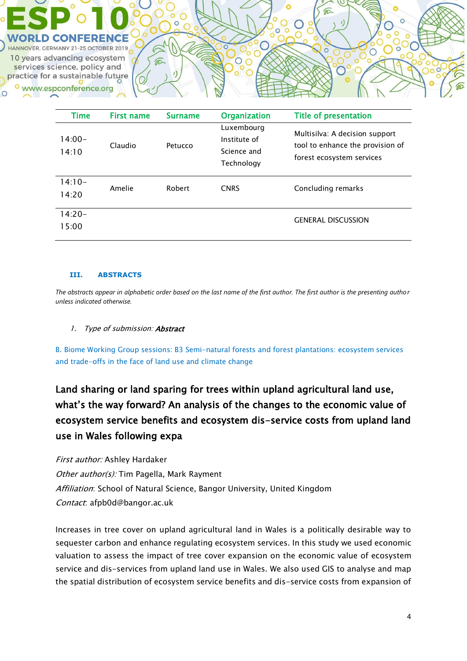

| Time               | <b>First name</b> | <b>Surname</b> | <b>Organization</b>                                     | <b>Title of presentation</b>                                                                    |
|--------------------|-------------------|----------------|---------------------------------------------------------|-------------------------------------------------------------------------------------------------|
| $14:00 -$<br>14:10 | Claudio           | Petucco        | Luxembourg<br>Institute of<br>Science and<br>Technology | Multisilva: A decision support<br>tool to enhance the provision of<br>forest ecosystem services |
| $14:10-$<br>14:20  | Amelie            | Robert         | <b>CNRS</b>                                             | Concluding remarks                                                                              |
| $14:20-$<br>15:00  |                   |                |                                                         | <b>GENERAL DISCUSSION</b>                                                                       |

#### **III. ABSTRACTS**

*The abstracts appear in alphabetic order based on the last name of the first author. The first author is the presenting author unless indicated otherwise.*

### 1. Type of submission: **Abstract**

B. Biome Working Group sessions: B3 Semi-natural forests and forest plantations: ecosystem services and trade-offs in the face of land use and climate change

# Land sharing or land sparing for trees within upland agricultural land use, what's the way forward? An analysis of the changes to the economic value of ecosystem service benefits and ecosystem dis-service costs from upland land use in Wales following expa

First author: Ashley Hardaker Other author(s): Tim Pagella, Mark Rayment Affiliation: School of Natural Science, Bangor University, United Kingdom Contact: afpb0d@bangor.ac.uk

Increases in tree cover on upland agricultural land in Wales is a politically desirable way to sequester carbon and enhance regulating ecosystem services. In this study we used economic valuation to assess the impact of tree cover expansion on the economic value of ecosystem service and dis-services from upland land use in Wales. We also used GIS to analyse and map the spatial distribution of ecosystem service benefits and dis-service costs from expansion of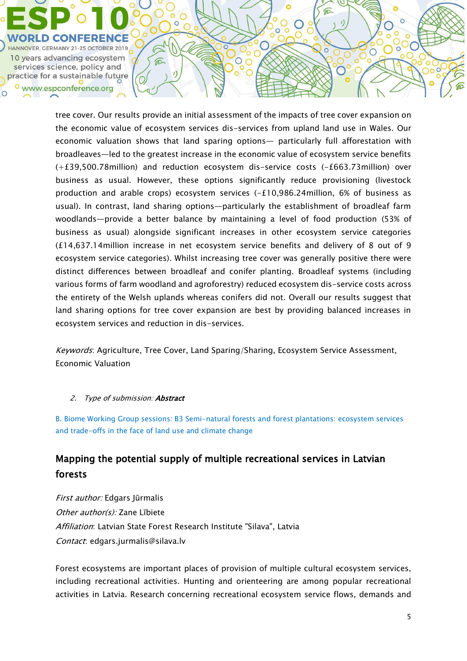

tree cover. Our results provide an initial assessment of the impacts of tree cover expansion on the economic value of ecosystem services dis-services from upland land use in Wales. Our economic valuation shows that land sparing options— particularly full afforestation with broadleaves—led to the greatest increase in the economic value of ecosystem service benefits (+£39,500.78million) and reduction ecosystem dis-service costs (-£663.73million) over business as usual. However, these options significantly reduce provisioning (livestock production and arable crops) ecosystem services (-£10,986.24million, 6% of business as usual). In contrast, land sharing options—particularly the establishment of broadleaf farm woodlands—provide a better balance by maintaining a level of food production (53% of business as usual) alongside significant increases in other ecosystem service categories (£14,637.14million increase in net ecosystem service benefits and delivery of 8 out of 9 ecosystem service categories). Whilst increasing tree cover was generally positive there were distinct differences between broadleaf and conifer planting. Broadleaf systems (including various forms of farm woodland and agroforestry) reduced ecosystem dis-service costs across the entirety of the Welsh uplands whereas conifers did not. Overall our results suggest that land sharing options for tree cover expansion are best by providing balanced increases in ecosystem services and reduction in dis-services.

€

 $\bigcirc$ 

Keywords: Agriculture, Tree Cover, Land Sparing/Sharing, Ecosystem Service Assessment, Economic Valuation

### 2. Type of submission: **Abstract**

B. Biome Working Group sessions: B3 Semi-natural forests and forest plantations: ecosystem services and trade-offs in the face of land use and climate change

## Mapping the potential supply of multiple recreational services in Latvian forests

First author: Edgars Jūrmalis Other author(s): Zane Lībiete Affiliation: Latvian State Forest Research Institute "Silava", Latvia Contact: edgars.jurmalis@silava.lv

Forest ecosystems are important places of provision of multiple cultural ecosystem services, including recreational activities. Hunting and orienteering are among popular recreational activities in Latvia. Research concerning recreational ecosystem service flows, demands and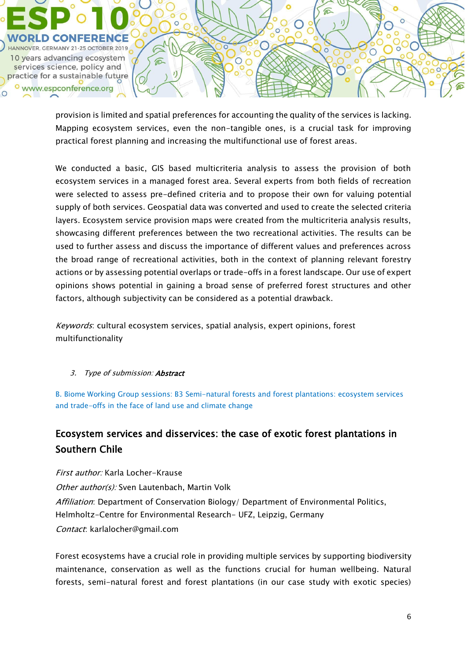

provision is limited and spatial preferences for accounting the quality of the services is lacking. Mapping ecosystem services, even the non-tangible ones, is a crucial task for improving practical forest planning and increasing the multifunctional use of forest areas.

We conducted a basic, GIS based multicriteria analysis to assess the provision of both ecosystem services in a managed forest area. Several experts from both fields of recreation were selected to assess pre-defined criteria and to propose their own for valuing potential supply of both services. Geospatial data was converted and used to create the selected criteria layers. Ecosystem service provision maps were created from the multicriteria analysis results, showcasing different preferences between the two recreational activities. The results can be used to further assess and discuss the importance of different values and preferences across the broad range of recreational activities, both in the context of planning relevant forestry actions or by assessing potential overlaps or trade-offs in a forest landscape. Our use of expert opinions shows potential in gaining a broad sense of preferred forest structures and other factors, although subjectivity can be considered as a potential drawback.

Keywords: cultural ecosystem services, spatial analysis, expert opinions, forest multifunctionality

## 3. Type of submission: Abstract

B. Biome Working Group sessions: B3 Semi-natural forests and forest plantations: ecosystem services and trade-offs in the face of land use and climate change

# Ecosystem services and disservices: the case of exotic forest plantations in Southern Chile

First author: Karla Locher-Krause Other author(s): Sven Lautenbach, Martin Volk Affiliation: Department of Conservation Biology/ Department of Environmental Politics, Helmholtz-Centre for Environmental Research- UFZ, Leipzig, Germany Contact: karlalocher@gmail.com

Forest ecosystems have a crucial role in providing multiple services by supporting biodiversity maintenance, conservation as well as the functions crucial for human wellbeing. Natural forests, semi-natural forest and forest plantations (in our case study with exotic species)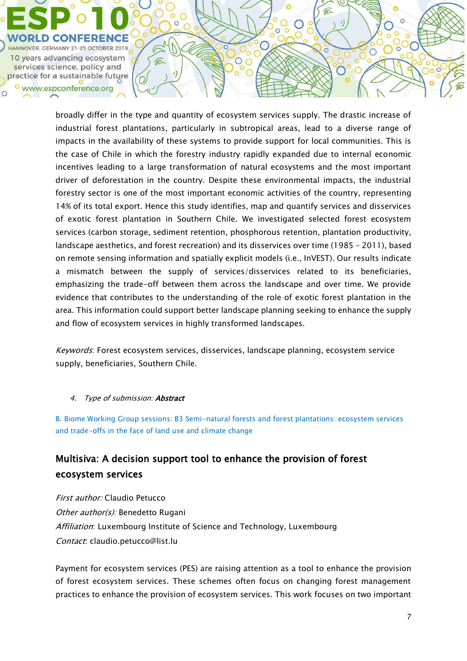

broadly differ in the type and quantity of ecosystem services supply. The drastic increase of industrial forest plantations, particularly in subtropical areas, lead to a diverse range of impacts in the availability of these systems to provide support for local communities. This is the case of Chile in which the forestry industry rapidly expanded due to internal economic incentives leading to a large transformation of natural ecosystems and the most important driver of deforestation in the country. Despite these environmental impacts, the industrial forestry sector is one of the most important economic activities of the country, representing 14% of its total export. Hence this study identifies, map and quantify services and disservices of exotic forest plantation in Southern Chile. We investigated selected forest ecosystem services (carbon storage, sediment retention, phosphorous retention, plantation productivity, landscape aesthetics, and forest recreation) and its disservices over time (1985 – 2011), based on remote sensing information and spatially explicit models (i.e., InVEST). Our results indicate a mismatch between the supply of services/disservices related to its beneficiaries, emphasizing the trade-off between them across the landscape and over time. We provide evidence that contributes to the understanding of the role of exotic forest plantation in the area. This information could support better landscape planning seeking to enhance the supply and flow of ecosystem services in highly transformed landscapes.

€

 $\bigcirc$ 

Keywords: Forest ecosystem services, disservices, landscape planning, ecosystem service supply, beneficiaries, Southern Chile.

### 4. Type of submission: **Abstract**

B. Biome Working Group sessions: B3 Semi-natural forests and forest plantations: ecosystem services and trade-offs in the face of land use and climate change

## Multisiva: A decision support tool to enhance the provision of forest ecosystem services

First author: Claudio Petucco Other author(s): Benedetto Rugani Affiliation: Luxembourg Institute of Science and Technology, Luxembourg Contact: claudio.petucco@list.lu

Payment for ecosystem services (PES) are raising attention as a tool to enhance the provision of forest ecosystem services. These schemes often focus on changing forest management practices to enhance the provision of ecosystem services. This work focuses on two important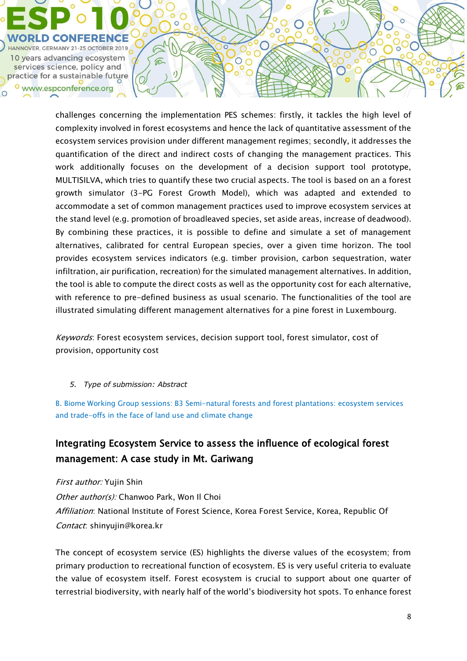

challenges concerning the implementation PES schemes: firstly, it tackles the high level of complexity involved in forest ecosystems and hence the lack of quantitative assessment of the ecosystem services provision under different management regimes; secondly, it addresses the quantification of the direct and indirect costs of changing the management practices. This work additionally focuses on the development of a decision support tool prototype, MULTISILVA, which tries to quantify these two crucial aspects. The tool is based on an a forest growth simulator (3-PG Forest Growth Model), which was adapted and extended to accommodate a set of common management practices used to improve ecosystem services at the stand level (e.g. promotion of broadleaved species, set aside areas, increase of deadwood). By combining these practices, it is possible to define and simulate a set of management alternatives, calibrated for central European species, over a given time horizon. The tool provides ecosystem services indicators (e.g. timber provision, carbon sequestration, water infiltration, air purification, recreation) for the simulated management alternatives. In addition, the tool is able to compute the direct costs as well as the opportunity cost for each alternative, with reference to pre-defined business as usual scenario. The functionalities of the tool are illustrated simulating different management alternatives for a pine forest in Luxembourg.

€

 $\bigcirc$ 

Keywords: Forest ecosystem services, decision support tool, forest simulator, cost of provision, opportunity cost

*5. Type of submission: Abstract* 

B. Biome Working Group sessions: B3 Semi-natural forests and forest plantations: ecosystem services and trade-offs in the face of land use and climate change

# Integrating Ecosystem Service to assess the influence of ecological forest management: A case study in Mt. Gariwang

First author: Yujin Shin Other author(s): Chanwoo Park, Won Il Choi Affiliation: National Institute of Forest Science, Korea Forest Service, Korea, Republic Of Contact: shinyujin@korea.kr

The concept of ecosystem service (ES) highlights the diverse values of the ecosystem; from primary production to recreational function of ecosystem. ES is very useful criteria to evaluate the value of ecosystem itself. Forest ecosystem is crucial to support about one quarter of terrestrial biodiversity, with nearly half of the world's biodiversity hot spots. To enhance forest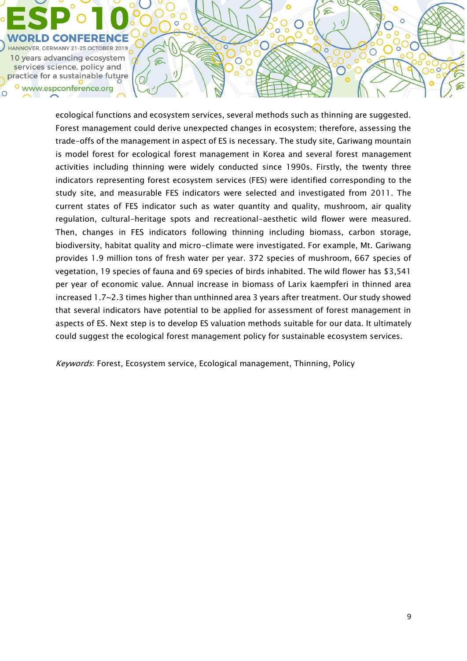

ecological functions and ecosystem services, several methods such as thinning are suggested. Forest management could derive unexpected changes in ecosystem; therefore, assessing the trade-offs of the management in aspect of ES is necessary. The study site, Gariwang mountain is model forest for ecological forest management in Korea and several forest management activities including thinning were widely conducted since 1990s. Firstly, the twenty three indicators representing forest ecosystem services (FES) were identified corresponding to the study site, and measurable FES indicators were selected and investigated from 2011. The current states of FES indicator such as water quantity and quality, mushroom, air quality regulation, cultural-heritage spots and recreational-aesthetic wild flower were measured. Then, changes in FES indicators following thinning including biomass, carbon storage, biodiversity, habitat quality and micro-climate were investigated. For example, Mt. Gariwang provides 1.9 million tons of fresh water per year. 372 species of mushroom, 667 species of vegetation, 19 species of fauna and 69 species of birds inhabited. The wild flower has \$3,541 per year of economic value. Annual increase in biomass of Larix kaempferi in thinned area increased 1.7~2.3 times higher than unthinned area 3 years after treatment. Our study showed that several indicators have potential to be applied for assessment of forest management in aspects of ES. Next step is to develop ES valuation methods suitable for our data. It ultimately could suggest the ecological forest management policy for sustainable ecosystem services.

 $\mathbb{C}$ 

 $\circ$ 

⋒

 $\mathbf{I}$ 

 $\overline{\circ}$ 

 $\circ$ 

Keywords: Forest, Ecosystem service, Ecological management, Thinning, Policy

 $\circ$ Ø

 $\mathbf{J}$ 

G

 $\widehat{\mathbb{C}}$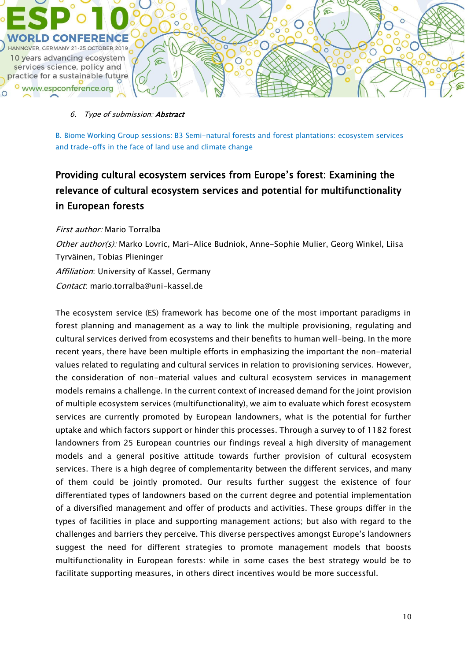

#### 6. Type of submission: Abstract

B. Biome Working Group sessions: B3 Semi-natural forests and forest plantations: ecosystem services and trade-offs in the face of land use and climate change

# Providing cultural ecosystem services from Europe's forest: Examining the relevance of cultural ecosystem services and potential for multifunctionality in European forests

#### First author: Mario Torralba

Other author(s): Marko Lovric, Mari-Alice Budniok, Anne-Sophie Mulier, Georg Winkel, Liisa Tyrväinen, Tobias Plieninger Affiliation: University of Kassel, Germany Contact: mario.torralba@uni-kassel.de

The ecosystem service (ES) framework has become one of the most important paradigms in forest planning and management as a way to link the multiple provisioning, regulating and cultural services derived from ecosystems and their benefits to human well-being. In the more recent years, there have been multiple efforts in emphasizing the important the non-material values related to regulating and cultural services in relation to provisioning services. However, the consideration of non-material values and cultural ecosystem services in management models remains a challenge. In the current context of increased demand for the joint provision of multiple ecosystem services (multifunctionality), we aim to evaluate which forest ecosystem services are currently promoted by European landowners, what is the potential for further uptake and which factors support or hinder this processes. Through a survey to of 1182 forest landowners from 25 European countries our findings reveal a high diversity of management models and a general positive attitude towards further provision of cultural ecosystem services. There is a high degree of complementarity between the different services, and many of them could be jointly promoted. Our results further suggest the existence of four differentiated types of landowners based on the current degree and potential implementation of a diversified management and offer of products and activities. These groups differ in the types of facilities in place and supporting management actions; but also with regard to the challenges and barriers they perceive. This diverse perspectives amongst Europe's landowners suggest the need for different strategies to promote management models that boosts multifunctionality in European forests: while in some cases the best strategy would be to facilitate supporting measures, in others direct incentives would be more successful.